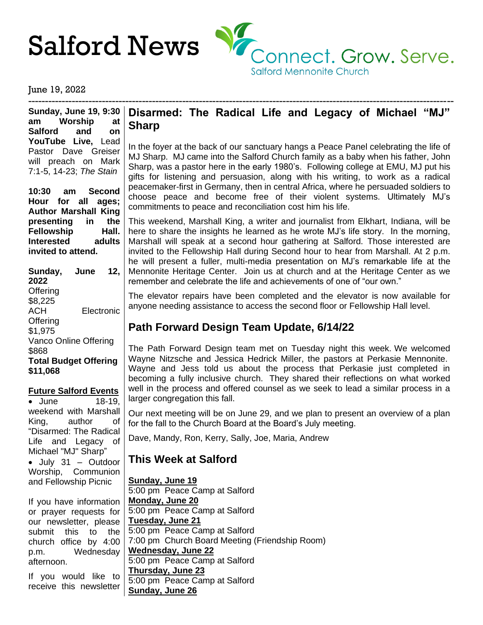

#### June 19, 2022

------------------------------------------------------------------------------------------------------------------------------- **Sunday, June 19, 9:30 am Worship at Salford and on YouTube Live,** Lead Pastor Dave Greiser will preach on Mark 7:1-5, 14-23; *The Stain*

**10:30 am Second Hour for all ages; Author Marshall King presenting in the** Fellowship Hall. **Interested adults invited to attend.**

**Sunday, June 12, 2022 Offering** \$8,225 ACH Electronic **Offering** \$1,975 Vanco Online Offering \$868 **Total Budget Offering \$11,068**

#### **Future Salford Events**

• June 18-19, weekend with Marshall King, author of "Disarmed: The Radical Life and Legacy of Michael "MJ" Sharp" • July 31 – Outdoor Worship, Communion and Fellowship Picnic

If you have information or prayer requests for our newsletter, please submit this to the church office by 4:00 p.m. Wednesday afternoon.

If you would like to receive this newsletter

## **Disarmed: The Radical Life and Legacy of Michael "MJ" Sharp**

In the foyer at the back of our sanctuary hangs a Peace Panel celebrating the life of MJ Sharp. MJ came into the Salford Church family as a baby when his father, John Sharp, was a pastor here in the early 1980's. Following college at EMU, MJ put his gifts for listening and persuasion, along with his writing, to work as a radical peacemaker-first in Germany, then in central Africa, where he persuaded soldiers to choose peace and become free of their violent systems. Ultimately MJ's commitments to peace and reconciliation cost him his life.

This weekend, Marshall King, a writer and journalist from Elkhart, Indiana, will be here to share the insights he learned as he wrote MJ's life story. In the morning, Marshall will speak at a second hour gathering at Salford. Those interested are invited to the Fellowship Hall during Second hour to hear from Marshall. At 2 p.m. he will present a fuller, multi-media presentation on MJ's remarkable life at the Mennonite Heritage Center. Join us at church and at the Heritage Center as we remember and celebrate the life and achievements of one of "our own."

The elevator repairs have been completed and the elevator is now available for anyone needing assistance to access the second floor or Fellowship Hall level.

# **Path Forward Design Team Update, 6/14/22**

The Path Forward Design team met on Tuesday night this week. We welcomed Wayne Nitzsche and Jessica Hedrick Miller, the pastors at Perkasie Mennonite. Wayne and Jess told us about the process that Perkasie just completed in becoming a fully inclusive church. They shared their reflections on what worked well in the process and offered counsel as we seek to lead a similar process in a larger congregation this fall.

Our next meeting will be on June 29, and we plan to present an overview of a plan for the fall to the Church Board at the Board's July meeting.

Dave, Mandy, Ron, Kerry, Sally, Joe, Maria, Andrew

# **This Week at Salford**

**Sunday, June 19** 5:00 pm Peace Camp at Salford **Monday, June 20** 5:00 pm Peace Camp at Salford **Tuesday, June 21** 5:00 pm Peace Camp at Salford 7:00 pm Church Board Meeting (Friendship Room) **Wednesday, June 22** 5:00 pm Peace Camp at Salford **Thursday, June 23** 5:00 pm Peace Camp at Salford **Sunday, June 26**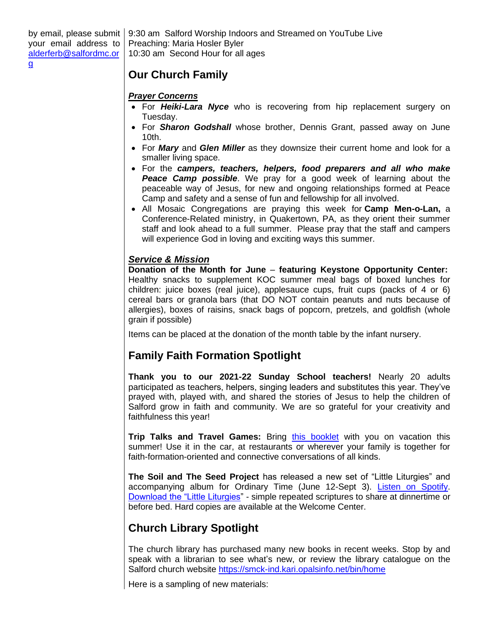by email, please submit your email address to [alderferb@salfordmc.or](mailto:alderferb@salfordmc.org) [g](mailto:alderferb@salfordmc.org) 9:30 am Salford Worship Indoors and Streamed on YouTube Live Preaching: Maria Hosler Byler 10:30 am Second Hour for all ages

## **Our Church Family**

#### *Prayer Concerns*

- For *Heiki-Lara Nyce* who is recovering from hip replacement surgery on Tuesday.
- For *Sharon Godshall* whose brother, Dennis Grant, passed away on June 10th.
- For *Mary* and *Glen Miller* as they downsize their current home and look for a smaller living space.
- For the *campers, teachers, helpers, food preparers and all who make* **Peace Camp possible**. We pray for a good week of learning about the peaceable way of Jesus, for new and ongoing relationships formed at Peace Camp and safety and a sense of fun and fellowship for all involved.
- All Mosaic Congregations are praying this week for **Camp Men-o-Lan,** a Conference-Related ministry, in Quakertown, PA, as they orient their summer staff and look ahead to a full summer. Please pray that the staff and campers will experience God in loving and exciting ways this summer.

#### *Service & Mission*

**Donation of the Month for June** – **featuring Keystone Opportunity Center:** Healthy snacks to supplement KOC summer meal bags of boxed lunches for children: juice boxes (real juice), applesauce cups, fruit cups (packs of 4 or 6) cereal bars or granola bars (that DO NOT contain peanuts and nuts because of allergies), boxes of raisins, snack bags of popcorn, pretzels, and goldfish (whole grain if possible)

Items can be placed at the donation of the month table by the infant nursery.

# **Family Faith Formation Spotlight**

**Thank you to our 2021-22 Sunday School teachers!** Nearly 20 adults participated as teachers, helpers, singing leaders and substitutes this year. They've prayed with, played with, and shared the stories of Jesus to help the children of Salford grow in faith and community. We are so grateful for your creativity and faithfulness this year!

**Trip Talks and Travel Games:** Bring [this booklet](http://www.salfordmc.org/uploads/3/9/9/0/39904787/june_2022_trip_booklet.pdf) with you on vacation this summer! Use it in the car, at restaurants or wherever your family is together for faith-formation-oriented and connective conversations of all kinds.

**The Soil and The Seed Project** has released a new set of "Little Liturgies" and accompanying album for Ordinary Time (June 12-Sept 3). [Listen on Spotify.](https://open.spotify.com/album/5PlXWiKLneuy8DU7ACfzAs?si=0VoIktOwS6m3Z5jkS6ozMA) [Download the "Little Liturgies"](https://www.thesoilandtheseedproject.org/) - simple repeated scriptures to share at dinnertime or before bed. Hard copies are available at the Welcome Center.

# **Church Library Spotlight**

The church library has purchased many new books in recent weeks. Stop by and speak with a librarian to see what's new, or review the library catalogue on the Salford church website<https://smck-ind.kari.opalsinfo.net/bin/home>

Here is a sampling of new materials: